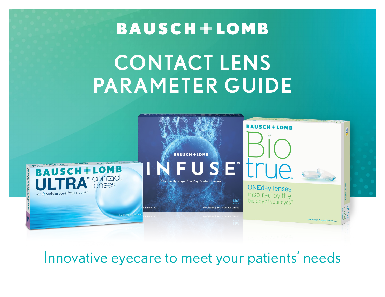# **BAUSCH+LOMB**

# CONTACT LENS PARAMETER GUIDE



Innovative eyecare to meet your patients' needs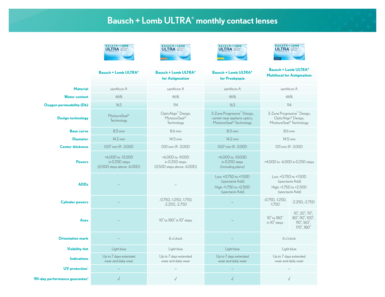#### Bausch + Lomb ULTRA® monthly contact lenses

|                                           | <b>BAUSCH+LOMB</b><br><b>ULTRA</b> <sup>*</sup> lenses                 | <b>BAUSCH+LOMB</b><br><b>ULTRA</b> <sup>*</sup> Contact                    | <b>BAUSCH+LOMB</b><br><b>ULTRA</b> <sup>*</sup> <i>contact</i>                                                  | <b>BAUSCH+LOMB</b><br><b>ULTRA</b> <sup>*</sup> Contact                                                            |                                                                                             |  |  |
|-------------------------------------------|------------------------------------------------------------------------|----------------------------------------------------------------------------|-----------------------------------------------------------------------------------------------------------------|--------------------------------------------------------------------------------------------------------------------|---------------------------------------------------------------------------------------------|--|--|
|                                           | <b>Bausch + Lomb ULTRA®</b>                                            | <b>Bausch + Lomb ULTRA®</b><br>for Astigmatism                             | <b>Bausch + Lomb ULTRA®</b><br>for Presbyopia                                                                   | <b>Bausch + Lomb ULTRA®</b><br><b>Multifocal for Astigmatism</b>                                                   |                                                                                             |  |  |
| <b>Material</b>                           | samfilcon A                                                            | samfilcon A                                                                | samfilcon A                                                                                                     | samfilcon A                                                                                                        |                                                                                             |  |  |
| <b>Water content</b>                      | 46%                                                                    | 46%                                                                        | 46%                                                                                                             | 46%                                                                                                                |                                                                                             |  |  |
| <b>Oxygen permeability (Dk)</b>           | 163                                                                    | 114                                                                        | 163                                                                                                             | 114                                                                                                                |                                                                                             |  |  |
| <b>Design technology</b>                  | MoistureSeal <sup>®</sup><br>Technology                                | OpticAlign <sup>™</sup> Design,<br>MoistureSeal <sup>®</sup><br>Technology | 3-Zone Progressive <sup>™</sup> Design,<br>center-near aspheric optics,<br>MoistureSeal <sup>®</sup> Technology | 3-Zone Progressive <sup>™</sup> Design,<br>OpticAlign <sup>®</sup> Design,<br>MoistureSeal <sup>®</sup> Technology |                                                                                             |  |  |
| <b>Base curve</b>                         | 8.5 mm                                                                 | 8.6 mm                                                                     | 8.5 mm                                                                                                          | 8.6 mm                                                                                                             |                                                                                             |  |  |
| <b>Diameter</b>                           | 14.2 mm                                                                | 14.5 mm                                                                    | 14.2 mm                                                                                                         | 14.5 mm                                                                                                            |                                                                                             |  |  |
| <b>Center thickness</b>                   | $0.07$ mm $@ -3.00D$                                                   | $0.10$ mm $@ -3.00D$                                                       | 0.07 mm @ -3.00D                                                                                                | $0.11$ mm $@ -3.00D$                                                                                               |                                                                                             |  |  |
| <b>Powers</b>                             | +6.00D to -12.00D<br>in 0.25D steps<br>$(0.50D$ steps above $-6.00D$ ) | +6.00D to -9.00D<br>in 0.25D steps<br>(0.50D steps above -6.00D)           | +6.00D to -10.00D<br>in 0.25D steps<br>(including plano)                                                        | +4.00D to -6.00D in 0.25D steps                                                                                    |                                                                                             |  |  |
| <b>ADDs</b>                               |                                                                        |                                                                            | Low: +0.75D to +1.50D<br>(spectacle Add)<br>High: +1.75D to +2.50D<br>(spectacle Add)                           | Low: +0.75D to +1.50D<br>High: +1.75D to +2.50D                                                                    | (spectacle Add)<br>(spectacle Add)                                                          |  |  |
| <b>Cylinder powers</b>                    |                                                                        | $-0.75D$ , $-1.25D$ , $-1.75D$ ,<br>$-2.25D, -2.75D$                       |                                                                                                                 | $-0.75D$ , $-1.25D$ ,<br>$-1.75D$                                                                                  | $-2.25D, -2.75D$                                                                            |  |  |
| Axes                                      |                                                                        | $10^{\circ}$ to $180^{\circ}$ in $10^{\circ}$ steps                        |                                                                                                                 | 10° to 180°<br>in $10^\circ$ steps                                                                                 | 10°, 20°, 70°,<br>$80^\circ, 90^\circ, 100^\circ$<br>$110^\circ, 160^\circ$ ,<br>170°, 180° |  |  |
| <b>Orientation mark</b>                   |                                                                        | 6 o'clock                                                                  |                                                                                                                 | 6 o'clock                                                                                                          |                                                                                             |  |  |
| <b>Visibility tint</b>                    | Light blue                                                             | Light blue                                                                 | Light blue                                                                                                      | Light blue                                                                                                         |                                                                                             |  |  |
| <b>Indications</b>                        | Up to 7 days extended<br>wear and daily wear                           | Up to 7 days extended<br>wear and daily wear                               | Up to 7 days extended<br>wear and daily wear                                                                    | Up to 7 days extended<br>wear and daily wear                                                                       |                                                                                             |  |  |
| <b>UV</b> protection <sup>*</sup>         |                                                                        |                                                                            |                                                                                                                 |                                                                                                                    |                                                                                             |  |  |
| 90-day performance guarantee <sup>1</sup> | $\sqrt{}$                                                              |                                                                            |                                                                                                                 | $\sqrt{}$                                                                                                          |                                                                                             |  |  |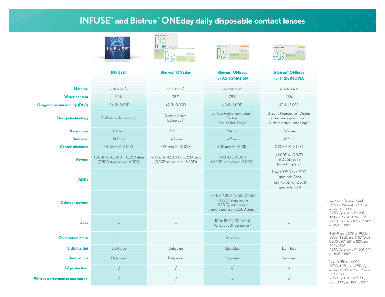#### INFUSE® and Biotrue® ONEday daily disposable contact lenses









|                                           | <b>INFUSE®</b>                                                      | <b>Biotrue® ONEday</b>                                              | <b>Biotrue® ONEday</b><br>for ASTIGMATISM                                                                         | <b>Biotrue® ONEday</b><br>for PRESBYOPIA                                                                          |  |
|-------------------------------------------|---------------------------------------------------------------------|---------------------------------------------------------------------|-------------------------------------------------------------------------------------------------------------------|-------------------------------------------------------------------------------------------------------------------|--|
| <b>Material</b>                           | kalifilcon A                                                        | nesofilcon A                                                        | nesofilcon A                                                                                                      | nesofilcon A                                                                                                      |  |
| <b>Water content</b>                      | 55%                                                                 | 78%                                                                 | 78%                                                                                                               | 78%                                                                                                               |  |
| <b>Oxygen transmissibility (Dk/t)</b>     | 134 @ -3.00D                                                        | 42 @ -3.00D                                                         | 42 @ -3.00D                                                                                                       | 42 @ -3.00D                                                                                                       |  |
| <b>Design technology</b>                  | ProBalance Technology <sup>™</sup>                                  | Surface Active<br>Technology <sup>™</sup>                           | Surface Active Technology <sup>™</sup> ,<br>Evolved<br>Peri-Ballast Design                                        | 3-Zone Progressive <sup>™</sup> Design,<br>center-near aspheric optics,<br>Surface Active Technology <sup>™</sup> |  |
| <b>Base curve</b>                         | 8.6 mm                                                              | 8.6 mm                                                              | 8.4 mm                                                                                                            | 8.6 mm                                                                                                            |  |
| <b>Diameter</b>                           | 14.2 mm                                                             | 14.2 mm                                                             | 14.5 mm                                                                                                           | 14.2 mm                                                                                                           |  |
| <b>Center thickness</b>                   | 0.08mm @ -3.00D                                                     | $0.10$ mm $@ -3.00D$                                                | $0.10$ mm $@ -3.00D$                                                                                              | $0.10$ mm $@ -3.00D$                                                                                              |  |
| <b>Powers</b>                             | +6.00D to -12.00D in 0.25D steps<br>$(0.50D$ steps above $-6.00D$ ) | +6.00D to -12.00D in 0.25D steps<br>$(0.50D$ steps above $-6.50D$ ) | +4.00D to -9.00D<br>(0.50D steps above -6.00D)                                                                    | +6.00D to -9.00D<br>in 0.25D steps<br>[including plano]                                                           |  |
| <b>ADDs</b>                               |                                                                     |                                                                     |                                                                                                                   | Low: +0.75D to +1.50D<br>(spectacle Add)<br>High: +1.75D to +2.50D<br>(spectacle Add)                             |  |
| <b>Cylinder powers</b>                    |                                                                     |                                                                     | -0.75D, -1.25D, -1.75D, -2.25D<br>in 0.25D steps and in<br>-2.75 Cylinder power<br>(sphere powers in 0.50D steps) |                                                                                                                   |  |
| Axes                                      |                                                                     |                                                                     | 10° to 180° (in 10° steps)<br>Varies by cylinder power*                                                           |                                                                                                                   |  |
| <b>Orientation mark</b>                   |                                                                     |                                                                     | 6 o'clock                                                                                                         |                                                                                                                   |  |
| <b>Visibility tint</b>                    | Light blue                                                          | Light blue                                                          | Light blue                                                                                                        | Light blue                                                                                                        |  |
| <b>Indications</b>                        | Daily wear                                                          | Daily wear                                                          | Daily wear                                                                                                        | Daily wear                                                                                                        |  |
| <b>UV</b> protection <sup>*</sup>         | $\sqrt{}$                                                           | $\sqrt{}$                                                           | $\sqrt{}$                                                                                                         |                                                                                                                   |  |
| 90-day performance guarantee <sup>1</sup> | $\sqrt{}$                                                           | $\sqrt{}$                                                           |                                                                                                                   | J                                                                                                                 |  |

\*Low Minus: Plano to -6.00D -0.75D -1.25D, and -1.75D Cyl. in Axis 10° to 180° -2.25D Cyl. in Axis 10°, 20°, 70° to 110°, and 160° to 180° -2.75D Cyl. in Axis 10°, 20°, 90°, and 160° to 180°

High Minus: -6.50D to -9.00D -0.75D, -1.25D, and -1.75D Cyl. in Axis 10°, 20°, 60° to 120°, and 160° to 180° -2.25D Cyl. in Axis 10°, 20°, 90°, and 160° to 180°

Plus: +0.25D to +4.00D -0.75D, -1.25D, and -1.75D Cyl. in Axis 10°, 20°, 70° to 110°, and 160° to 180° -2.25D Cyl. in Axis 10°, 20°, 80° to 100°, and 160° to 180°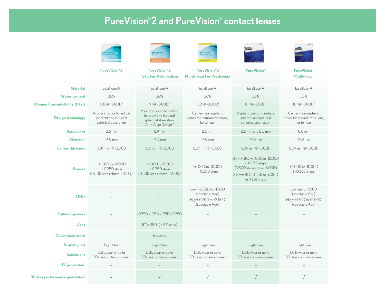## PureVision® 2 and PureVision® contact lenses

|                                           |                                                                           | PureVision                                                                                                   | PureVisio                                                                             |                                                                                                                                    | $1 + R/L$                                                                         |  |
|-------------------------------------------|---------------------------------------------------------------------------|--------------------------------------------------------------------------------------------------------------|---------------------------------------------------------------------------------------|------------------------------------------------------------------------------------------------------------------------------------|-----------------------------------------------------------------------------------|--|
|                                           | <b>PureVision®2</b>                                                       | PureVision®2<br><b>Toric For Astigmatism</b>                                                                 | PureVision®2<br><b>Multi-Focal For Presbyopia</b>                                     | <b>PureVision®</b>                                                                                                                 | <b>PureVision®</b><br><b>Multi-Focal</b>                                          |  |
| <b>Material</b>                           | balafilcon A                                                              | balafilcon A                                                                                                 | balafilcon A                                                                          | balafilcon A                                                                                                                       | balafilcon A                                                                      |  |
| <b>Water content</b>                      | 36%                                                                       | 36%                                                                                                          | 36%                                                                                   | 36%                                                                                                                                | 36%                                                                               |  |
| <b>Oxygen transmissibility (Dk/t)</b>     | 130 @ -3.00D <sup>2</sup>                                                 | $91@ - 3.00D^2$                                                                                              | 130 @ -3.00D <sup>2</sup>                                                             | 101@-3.00D <sup>2</sup>                                                                                                            | 101@-3.00D <sup>2</sup>                                                           |  |
| Design technology                         | Aspheric optics to reduce<br>inherent and induced<br>spherical aberration | Aspheric optics to reduce<br>inherent and induced<br>spherical aberration.<br>Auto Align Design <sup>™</sup> | Center-near aspheric<br>optics for natural transitions,<br>far to near                | Aspheric optics to reduce<br>inherent and induced<br>spherical aberration                                                          | Center-near aspheric<br>optics for natural transitions,<br>far to near            |  |
| <b>Base curve</b>                         | 8.6 mm                                                                    | 8.9 mm                                                                                                       | 8.6 mm                                                                                | 8.6 mm and 8.3 mm                                                                                                                  | 8.6 mm                                                                            |  |
| <b>Diameter</b>                           | 14.0 mm                                                                   | 14.5 mm                                                                                                      | 14.0 mm                                                                               | 14.0 mm                                                                                                                            | 14.0 mm                                                                           |  |
| <b>Center thickness</b>                   | 0.07 mm @ -3.00D                                                          | $0.10$ mm @ $-3.00D$                                                                                         | 0.07 mm @ -3.00D                                                                      | $0.09$ mm @ $-3.00D$                                                                                                               | 0.09 mm @ -3.00D                                                                  |  |
| <b>Powers</b>                             | +6.00D to -12.00D<br>in 0.25D steps<br>$(0.50D$ steps above $-6.00D$ )    | +6.00D to -9.00D<br>in 0.25D steps<br>$(0.50D$ steps above $-6.00D$ )                                        | +6.00D to -10.00D<br>in 0.25D steps                                                   | 8.6mm BC: +6.00D to -12.00D<br>in 0.25D steps<br>$(0.50D$ steps above $-6.00D$ )<br>8.3mm BC: - 0.25D to - 6.00D<br>in 0.25D steps | +6.00D to -10.00D<br>in 0.25D steps                                               |  |
| <b>ADDs</b>                               |                                                                           |                                                                                                              | Low: +0.75D to +1.50D<br>(spectacle Add)<br>High: +1.75D to +2.50D<br>(spectacle Add) |                                                                                                                                    | Low: up to +1.50D<br>(spectacle Add)<br>High: +1.75D to +2.50D<br>(spectacle Add) |  |
| <b>Cylinder powers</b>                    |                                                                           | -0.75D, -1.25D, -1.75D, -2.25D                                                                               |                                                                                       |                                                                                                                                    |                                                                                   |  |
| Axes                                      |                                                                           | $10^{\circ}$ to $180^{\circ}$ (in $10^{\circ}$ steps)                                                        |                                                                                       |                                                                                                                                    |                                                                                   |  |
| <b>Orientation mark</b>                   |                                                                           | 6 o'clock                                                                                                    |                                                                                       |                                                                                                                                    |                                                                                   |  |
| <b>Visibility tint</b>                    | Light blue                                                                | Light blue                                                                                                   | Light blue                                                                            | Light blue                                                                                                                         | Light blue                                                                        |  |
| <b>Indications</b>                        | Daily wear or up to<br>30 days continuous wear                            | Daily wear or up to<br>30 days continuous wear                                                               | Daily wear or up to<br>30 days continuous wear                                        | Daily wear or up to<br>30 days continuous wear                                                                                     | Daily wear or up to<br>30 days continuous wear                                    |  |
| <b>UV</b> protection <sup>*</sup>         |                                                                           |                                                                                                              |                                                                                       |                                                                                                                                    |                                                                                   |  |
| 90-day performance guarantee <sup>1</sup> | $\sqrt{}$                                                                 |                                                                                                              |                                                                                       |                                                                                                                                    |                                                                                   |  |